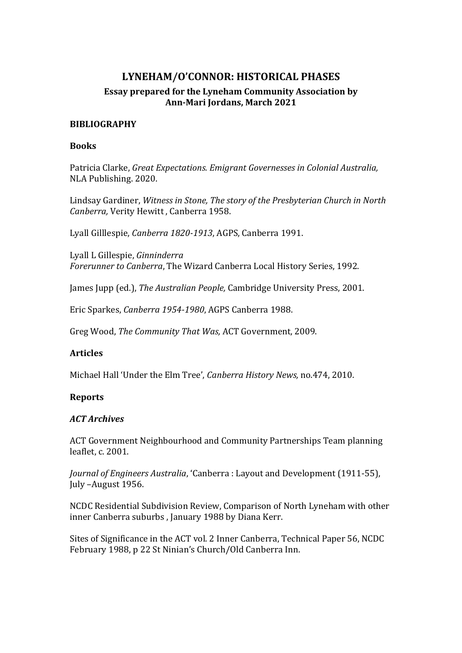# **LYNEHAM/O'CONNOR: HISTORICAL PHASES Essay prepared for the Lyneham Community Association by Ann-Mari Jordans, March 2021**

## **BIBLIOGRAPHY**

## **Books**

Patricia Clarke, *Great Expectations. Emigrant Governesses in Colonial Australia,*  NLA Publishing. 2020.

Lindsay Gardiner, *Witness in Stone, The story of the Presbyterian Church in North Canberra,* Verity Hewitt , Canberra 1958.

Lyall Gilllespie, *Canberra 1820-1913*, AGPS, Canberra 1991.

Lyall L Gillespie, *Ginninderra Forerunner to Canberra*, The Wizard Canberra Local History Series, 1992.

James Jupp (ed.), *The Australian People,* Cambridge University Press, 2001.

Eric Sparkes, *Canberra 1954-1980*, AGPS Canberra 1988.

Greg Wood, *The Community That Was,* ACT Government, 2009.

## **Articles**

Michael Hall 'Under the Elm Tree', *Canberra History News,* no.474, 2010.

#### **Reports**

#### *ACT Archives*

ACT Government Neighbourhood and Community Partnerships Team planning leaflet, c. 2001.

*Journal of Engineers Australia*, 'Canberra : Layout and Development (1911-55), July –August 1956.

NCDC Residential Subdivision Review, Comparison of North Lyneham with other inner Canberra suburbs , January 1988 by Diana Kerr.

Sites of Significance in the ACT vol. 2 Inner Canberra, Technical Paper 56, NCDC February 1988, p 22 St Ninian's Church/Old Canberra Inn.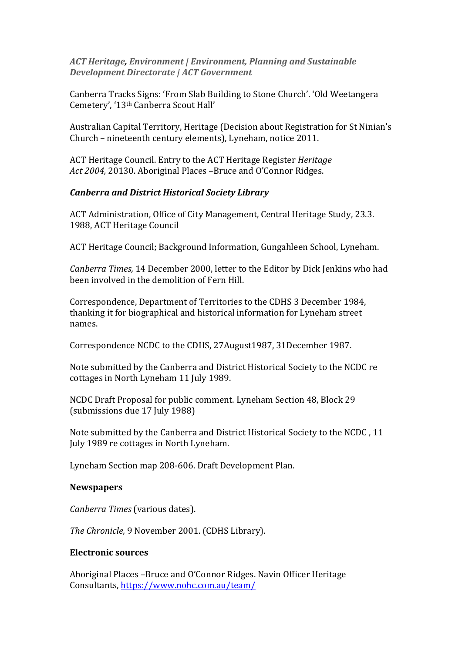*ACT Heritage, Environment | Environment, Planning and Sustainable Development Directorate | ACT Government*

Canberra Tracks Signs: 'From Slab Building to Stone Church'. 'Old Weetangera Cemetery', '13th Canberra Scout Hall'

Australian Capital Territory, Heritage (Decision about Registration for St Ninian's Church – nineteenth century elements), Lyneham, notice 2011.

ACT Heritage Council. Entry to the ACT Heritage Register *Heritage Act 2004,* 20130. Aboriginal Places –Bruce and O'Connor Ridges.

### *Canberra and District Historical Society Library*

ACT Administration, Office of City Management, Central Heritage Study, 23.3. 1988, ACT Heritage Council

ACT Heritage Council; Background Information, Gungahleen School, Lyneham.

*Canberra Times,* 14 December 2000, letter to the Editor by Dick Jenkins who had been involved in the demolition of Fern Hill.

Correspondence, Department of Territories to the CDHS 3 December 1984, thanking it for biographical and historical information for Lyneham street names.

Correspondence NCDC to the CDHS, 27August1987, 31December 1987.

Note submitted by the Canberra and District Historical Society to the NCDC re cottages in North Lyneham 11 July 1989.

NCDC Draft Proposal for public comment. Lyneham Section 48, Block 29 (submissions due 17 July 1988)

Note submitted by the Canberra and District Historical Society to the NCDC , 11 July 1989 re cottages in North Lyneham.

Lyneham Section map 208-606. Draft Development Plan.

#### **Newspapers**

*Canberra Times* (various dates).

*The Chronicle,* 9 November 2001. (CDHS Library).

#### **Electronic sources**

Aboriginal Places –Bruce and O'Connor Ridges. Navin Officer Heritage Consultants,<https://www.nohc.com.au/team/>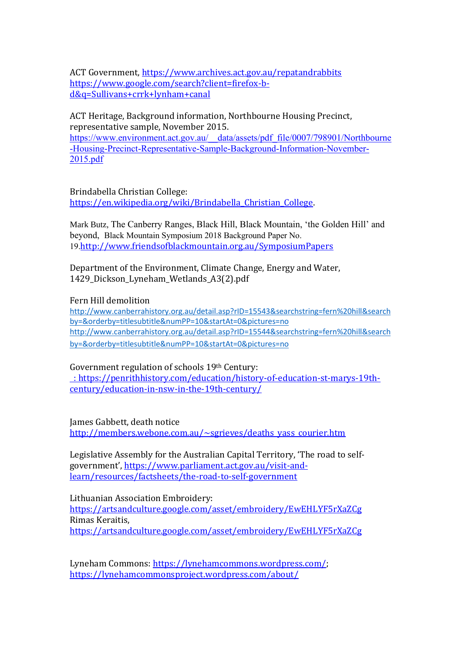ACT Government, https://www.archives.act.gov.au/repatandrabbits https://www.google.com/search?client=firefox-bd&q=Sullivans+crrk+lynham+canal

ACT Heritage, Background information, Northbourne Housing Precinct, representative sample, November 2015. https://www.environment.act.gov.au/\_\_data/assets/pdf\_file/0007/798901/Northbourne -Housing-Precinct-Representative-Sample-Background-Information-November-2015.pdf

Brindabella Christian College: https://en.wikipedia.org/wiki/Brindabella\_Christian\_College.

Mark Butz, The Canberry Ranges, Black Hill, Black Mountain, 'the Golden Hill' and beyond, Black Mountain Symposium 2018 Background Paper No. 19.http://www.friendsofblackmountain.org.au/SymposiumPapers

Department of the Environment, Climate Change, Energy and Water, 1429\_Dickson\_Lyneham\_Wetlands\_A3(2).pdf

Fern Hill demolition

http://www.canberrahistory.org.au/detail.asp?rID=15543&searchstring=fern%20hill&search by=&orderby=titlesubtitle&numPP=10&startAt=0&pictures=no http://www.canberrahistory.org.au/detail.asp?rID=15544&searchstring=fern%20hill&search by=&orderby=titlesubtitle&numPP=10&startAt=0&pictures=no

Government regulation of schools 19th Century: : https://penrithhistory.com/education/history-of-education-st-marys-19thcentury/education-in-nsw-in-the-19th-century/

James Gabbett, death notice http://members.webone.com.au/~sgrieves/deaths\_yass\_courier.htm

Legislative Assembly for the Australian Capital Territory, 'The road to selfgovernment', https://www.parliament.act.gov.au/visit-andlearn/resources/factsheets/the-road-to-self-government

Lithuanian Association Embroidery:

https://artsandculture.google.com/asset/embroidery/EwEHLYF5rXaZCg Rimas Keraitis, https://artsandculture.google.com/asset/embroidery/EwEHLYF5rXaZCg

Lyneham Commons: https://lynehamcommons.wordpress.com/; https://lynehamcommonsproject.wordpress.com/about/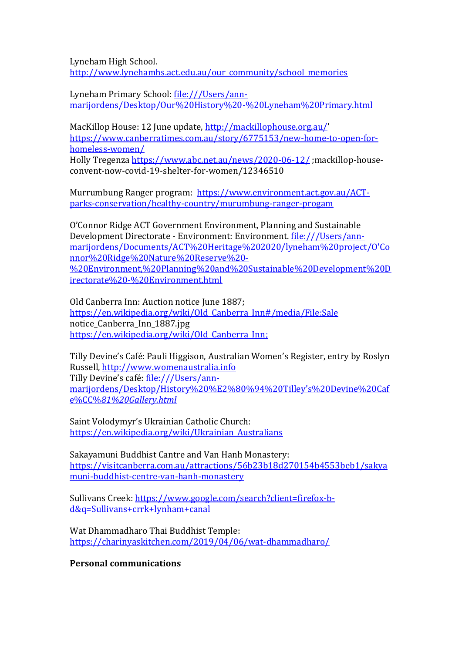Lyneham High School. http://www.lynehamhs.act.edu.au/our\_community/school\_memories

Lyneham Primary School: file:///Users/annmarijordens/Desktop/Our%20History%20-%20Lyneham%20Primary.html

MacKillop House: 12 June update, http://mackillophouse.org.au/ https://www.canberratimes.com.au/story/6775153/new-home-to-open-forhomeless-women/

Holly Tregenza https://www.abc.net.au/news/2020-06-12/ ;mackillop-houseconvent-now-covid-19-shelter-for-women/12346510

Murrumbung Ranger program: https://www.environment.act.gov.au/ACTparks-conservation/healthy-country/murumbung-ranger-progam

O'Connor Ridge ACT Government Environment, Planning and Sustainable Development Directorate - Environment: Environment. file:///Users/annmarijordens/Documents/ACT%20Heritage%202020/lyneham%20project/O'Co nnor%20Ridge%20Nature%20Reserve%20- %20Environment,%20Planning%20and%20Sustainable%20Development%20D irectorate%20-%20Environment.html

Old Canberra Inn: Auction notice June 1887; https://en.wikipedia.org/wiki/Old\_Canberra\_Inn#/media/File:Sale notice\_Canberra\_Inn\_1887.jpg https://en.wikipedia.org/wiki/Old\_Canberra\_Inn;

Tilly Devine's Café: Pauli Higgison, Australian Women's Register, entry by Roslyn Russell, http://www.womenaustralia.info Tilly Devine's café: file:///Users/annmarijordens/Desktop/History%20%E2%80%94%20Tilley's%20Devine%20Caf e%CC%*81%20Gallery.html*

Saint Volodymyr's Ukrainian Catholic Church: https://en.wikipedia.org/wiki/Ukrainian\_Australians

Sakayamuni Buddhist Cantre and Van Hanh Monastery: https://visitcanberra.com.au/attractions/56b23b18d270154b4553beb1/sakya muni-buddhist-centre-van-hanh-monastery

Sullivans Creek: https://www.google.com/search?client=firefox-bd&q=Sullivans+crrk+lynham+canal

Wat Dhammadharo Thai Buddhist Temple: https://charinyaskitchen.com/2019/04/06/wat-dhammadharo/

**Personal communications**